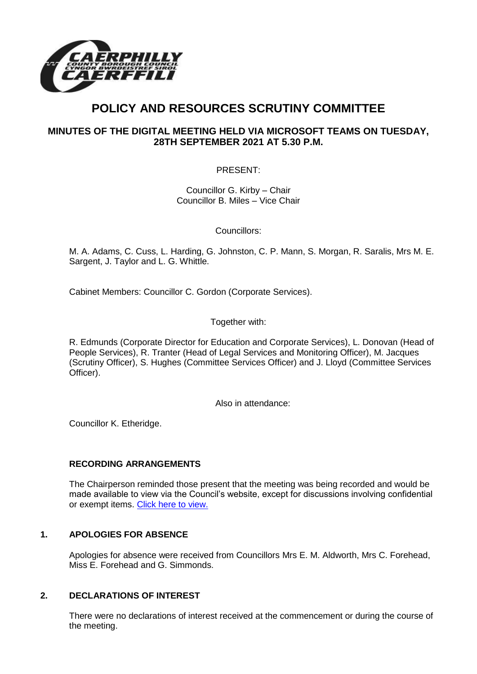

# **POLICY AND RESOURCES SCRUTINY COMMITTEE**

# **MINUTES OF THE DIGITAL MEETING HELD VIA MICROSOFT TEAMS ON TUESDAY, 28TH SEPTEMBER 2021 AT 5.30 P.M.**

PRESENT:

Councillor G. Kirby – Chair Councillor B. Miles – Vice Chair

Councillors:

M. A. Adams, C. Cuss, L. Harding, G. Johnston, C. P. Mann, S. Morgan, R. Saralis, Mrs M. E. Sargent, J. Taylor and L. G. Whittle.

Cabinet Members: Councillor C. Gordon (Corporate Services).

Together with:

R. Edmunds (Corporate Director for Education and Corporate Services), L. Donovan (Head of People Services), R. Tranter (Head of Legal Services and Monitoring Officer), M. Jacques (Scrutiny Officer), S. Hughes (Committee Services Officer) and J. Lloyd (Committee Services Officer).

Also in attendance:

Councillor K. Etheridge.

## **RECORDING ARRANGEMENTS**

The Chairperson reminded those present that the meeting was being recorded and would be made available to view via the Council's website, except for discussions involving confidential or exempt items. [Click here to view.](https://www.caerphilly.gov.uk/My-Council/Meetings,-agendas,-minutes-and-reports/Council-meetings)

## **1. APOLOGIES FOR ABSENCE**

Apologies for absence were received from Councillors Mrs E. M. Aldworth, Mrs C. Forehead, Miss E. Forehead and G. Simmonds.

### **2. DECLARATIONS OF INTEREST**

There were no declarations of interest received at the commencement or during the course of the meeting.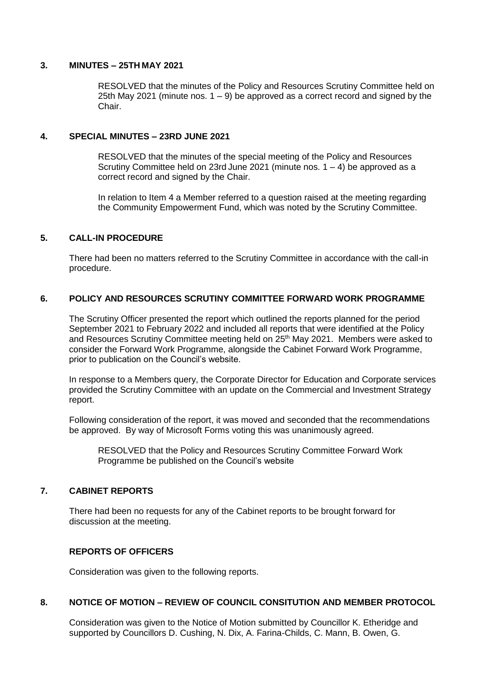#### **3. MINUTES – 25TH MAY 2021**

RESOLVED that the minutes of the Policy and Resources Scrutiny Committee held on 25th May 2021 (minute nos.  $1 - 9$ ) be approved as a correct record and signed by the Chair.

#### **4. SPECIAL MINUTES – 23RD JUNE 2021**

RESOLVED that the minutes of the special meeting of the Policy and Resources Scrutiny Committee held on 23rd June 2021 (minute nos.  $1 - 4$ ) be approved as a correct record and signed by the Chair.

In relation to Item 4 a Member referred to a question raised at the meeting regarding the Community Empowerment Fund, which was noted by the Scrutiny Committee.

### **5. CALL-IN PROCEDURE**

There had been no matters referred to the Scrutiny Committee in accordance with the call-in procedure.

### **6. POLICY AND RESOURCES SCRUTINY COMMITTEE FORWARD WORK PROGRAMME**

The Scrutiny Officer presented the report which outlined the reports planned for the period September 2021 to February 2022 and included all reports that were identified at the Policy and Resources Scrutiny Committee meeting held on 25<sup>th</sup> May 2021. Members were asked to consider the Forward Work Programme, alongside the Cabinet Forward Work Programme, prior to publication on the Council's website.

In response to a Members query, the Corporate Director for Education and Corporate services provided the Scrutiny Committee with an update on the Commercial and Investment Strategy report.

Following consideration of the report, it was moved and seconded that the recommendations be approved. By way of Microsoft Forms voting this was unanimously agreed.

RESOLVED that the Policy and Resources Scrutiny Committee Forward Work Programme be published on the Council's website

### **7. CABINET REPORTS**

There had been no requests for any of the Cabinet reports to be brought forward for discussion at the meeting.

### **REPORTS OF OFFICERS**

Consideration was given to the following reports.

### **8. NOTICE OF MOTION – REVIEW OF COUNCIL CONSITUTION AND MEMBER PROTOCOL**

Consideration was given to the Notice of Motion submitted by Councillor K. Etheridge and supported by Councillors D. Cushing, N. Dix, A. Farina-Childs, C. Mann, B. Owen, G.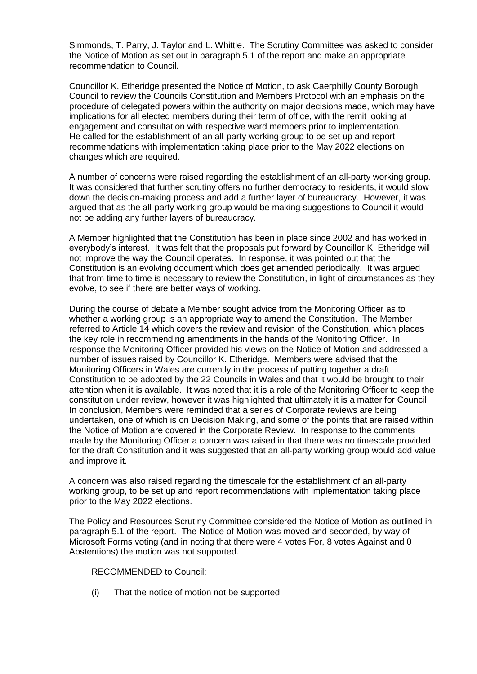Simmonds, T. Parry, J. Taylor and L. Whittle. The Scrutiny Committee was asked to consider the Notice of Motion as set out in paragraph 5.1 of the report and make an appropriate recommendation to Council.

Councillor K. Etheridge presented the Notice of Motion, to ask Caerphilly County Borough Council to review the Councils Constitution and Members Protocol with an emphasis on the procedure of delegated powers within the authority on major decisions made, which may have implications for all elected members during their term of office, with the remit looking at engagement and consultation with respective ward members prior to implementation. He called for the establishment of an all-party working group to be set up and report recommendations with implementation taking place prior to the May 2022 elections on changes which are required.

A number of concerns were raised regarding the establishment of an all-party working group. It was considered that further scrutiny offers no further democracy to residents, it would slow down the decision-making process and add a further layer of bureaucracy. However, it was argued that as the all-party working group would be making suggestions to Council it would not be adding any further layers of bureaucracy.

A Member highlighted that the Constitution has been in place since 2002 and has worked in everybody's interest. It was felt that the proposals put forward by Councillor K. Etheridge will not improve the way the Council operates. In response, it was pointed out that the Constitution is an evolving document which does get amended periodically. It was argued that from time to time is necessary to review the Constitution, in light of circumstances as they evolve, to see if there are better ways of working.

During the course of debate a Member sought advice from the Monitoring Officer as to whether a working group is an appropriate way to amend the Constitution. The Member referred to Article 14 which covers the review and revision of the Constitution, which places the key role in recommending amendments in the hands of the Monitoring Officer. In response the Monitoring Officer provided his views on the Notice of Motion and addressed a number of issues raised by Councillor K. Etheridge. Members were advised that the Monitoring Officers in Wales are currently in the process of putting together a draft Constitution to be adopted by the 22 Councils in Wales and that it would be brought to their attention when it is available. It was noted that it is a role of the Monitoring Officer to keep the constitution under review, however it was highlighted that ultimately it is a matter for Council. In conclusion, Members were reminded that a series of Corporate reviews are being undertaken, one of which is on Decision Making, and some of the points that are raised within the Notice of Motion are covered in the Corporate Review. In response to the comments made by the Monitoring Officer a concern was raised in that there was no timescale provided for the draft Constitution and it was suggested that an all-party working group would add value and improve it.

A concern was also raised regarding the timescale for the establishment of an all-party working group, to be set up and report recommendations with implementation taking place prior to the May 2022 elections.

The Policy and Resources Scrutiny Committee considered the Notice of Motion as outlined in paragraph 5.1 of the report. The Notice of Motion was moved and seconded, by way of Microsoft Forms voting (and in noting that there were 4 votes For, 8 votes Against and 0 Abstentions) the motion was not supported.

RECOMMENDED to Council:

(i) That the notice of motion not be supported.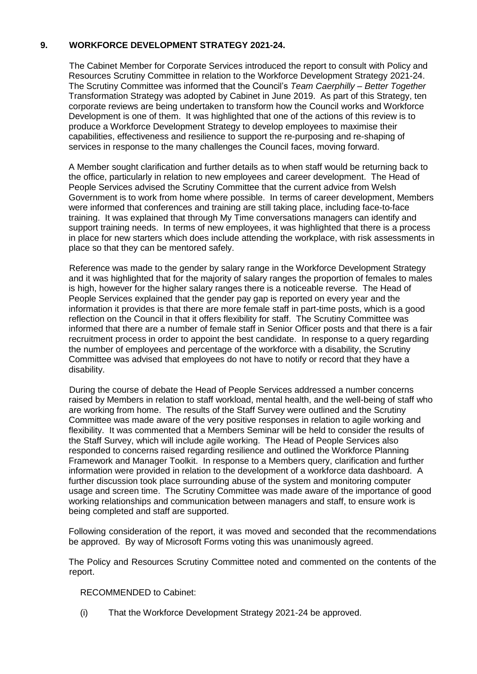## **9. WORKFORCE DEVELOPMENT STRATEGY 2021-24.**

The Cabinet Member for Corporate Services introduced the report to consult with Policy and Resources Scrutiny Committee in relation to the Workforce Development Strategy 2021-24. The Scrutiny Committee was informed that the Council's *Team Caerphilly – Better Together*  Transformation Strategy was adopted by Cabinet in June 2019. As part of this Strategy, ten corporate reviews are being undertaken to transform how the Council works and Workforce Development is one of them. It was highlighted that one of the actions of this review is to produce a Workforce Development Strategy to develop employees to maximise their capabilities, effectiveness and resilience to support the re-purposing and re-shaping of services in response to the many challenges the Council faces, moving forward.

A Member sought clarification and further details as to when staff would be returning back to the office, particularly in relation to new employees and career development. The Head of People Services advised the Scrutiny Committee that the current advice from Welsh Government is to work from home where possible. In terms of career development, Members were informed that conferences and training are still taking place, including face-to-face training. It was explained that through My Time conversations managers can identify and support training needs. In terms of new employees, it was highlighted that there is a process in place for new starters which does include attending the workplace, with risk assessments in place so that they can be mentored safely.

Reference was made to the gender by salary range in the Workforce Development Strategy and it was highlighted that for the majority of salary ranges the proportion of females to males is high, however for the higher salary ranges there is a noticeable reverse. The Head of People Services explained that the gender pay gap is reported on every year and the information it provides is that there are more female staff in part-time posts, which is a good reflection on the Council in that it offers flexibility for staff. The Scrutiny Committee was informed that there are a number of female staff in Senior Officer posts and that there is a fair recruitment process in order to appoint the best candidate. In response to a query regarding the number of employees and percentage of the workforce with a disability, the Scrutiny Committee was advised that employees do not have to notify or record that they have a disability.

During the course of debate the Head of People Services addressed a number concerns raised by Members in relation to staff workload, mental health, and the well-being of staff who are working from home. The results of the Staff Survey were outlined and the Scrutiny Committee was made aware of the very positive responses in relation to agile working and flexibility. It was commented that a Members Seminar will be held to consider the results of the Staff Survey, which will include agile working. The Head of People Services also responded to concerns raised regarding resilience and outlined the Workforce Planning Framework and Manager Toolkit. In response to a Members query, clarification and further information were provided in relation to the development of a workforce data dashboard. A further discussion took place surrounding abuse of the system and monitoring computer usage and screen time. The Scrutiny Committee was made aware of the importance of good working relationships and communication between managers and staff, to ensure work is being completed and staff are supported.

Following consideration of the report, it was moved and seconded that the recommendations be approved. By way of Microsoft Forms voting this was unanimously agreed.

The Policy and Resources Scrutiny Committee noted and commented on the contents of the report.

RECOMMENDED to Cabinet:

(i) That the Workforce Development Strategy 2021-24 be approved.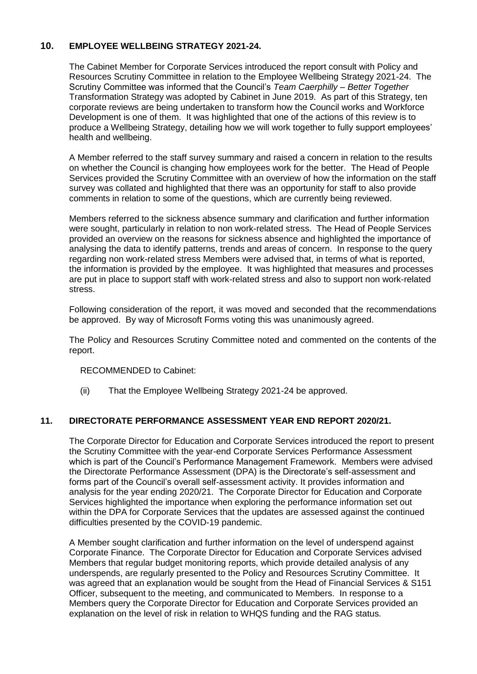## **10. EMPLOYEE WELLBEING STRATEGY 2021-24.**

The Cabinet Member for Corporate Services introduced the report consult with Policy and Resources Scrutiny Committee in relation to the Employee Wellbeing Strategy 2021-24. The Scrutiny Committee was informed that the Council's *Team Caerphilly – Better Together*  Transformation Strategy was adopted by Cabinet in June 2019. As part of this Strategy, ten corporate reviews are being undertaken to transform how the Council works and Workforce Development is one of them. It was highlighted that one of the actions of this review is to produce a Wellbeing Strategy, detailing how we will work together to fully support employees' health and wellbeing.

A Member referred to the staff survey summary and raised a concern in relation to the results on whether the Council is changing how employees work for the better. The Head of People Services provided the Scrutiny Committee with an overview of how the information on the staff survey was collated and highlighted that there was an opportunity for staff to also provide comments in relation to some of the questions, which are currently being reviewed.

Members referred to the sickness absence summary and clarification and further information were sought, particularly in relation to non work-related stress. The Head of People Services provided an overview on the reasons for sickness absence and highlighted the importance of analysing the data to identify patterns, trends and areas of concern. In response to the query regarding non work-related stress Members were advised that, in terms of what is reported, the information is provided by the employee. It was highlighted that measures and processes are put in place to support staff with work-related stress and also to support non work-related stress.

Following consideration of the report, it was moved and seconded that the recommendations be approved. By way of Microsoft Forms voting this was unanimously agreed.

The Policy and Resources Scrutiny Committee noted and commented on the contents of the report.

RECOMMENDED to Cabinet:

(ii) That the Employee Wellbeing Strategy 2021-24 be approved.

### **11. DIRECTORATE PERFORMANCE ASSESSMENT YEAR END REPORT 2020/21.**

The Corporate Director for Education and Corporate Services introduced the report to present the Scrutiny Committee with the year-end Corporate Services Performance Assessment which is part of the Council's Performance Management Framework. Members were advised the Directorate Performance Assessment (DPA) is the Directorate's self-assessment and forms part of the Council's overall self-assessment activity. It provides information and analysis for the year ending 2020/21. The Corporate Director for Education and Corporate Services highlighted the importance when exploring the performance information set out within the DPA for Corporate Services that the updates are assessed against the continued difficulties presented by the COVID-19 pandemic.

A Member sought clarification and further information on the level of underspend against Corporate Finance. The Corporate Director for Education and Corporate Services advised Members that regular budget monitoring reports, which provide detailed analysis of any underspends, are regularly presented to the Policy and Resources Scrutiny Committee. It was agreed that an explanation would be sought from the Head of Financial Services & S151 Officer, subsequent to the meeting, and communicated to Members. In response to a Members query the Corporate Director for Education and Corporate Services provided an explanation on the level of risk in relation to WHQS funding and the RAG status.